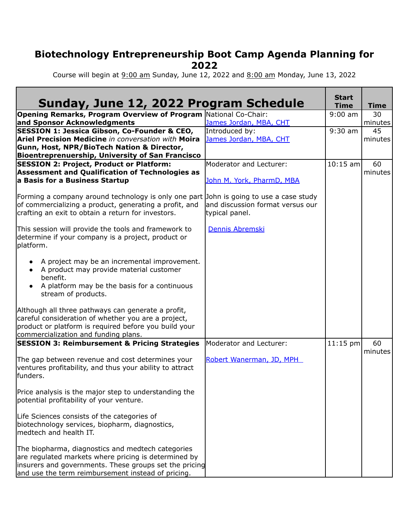## **Biotechnology Entrepreneurship Boot Camp Agenda Planning for 2022**

Course will begin at 9:00 am Sunday, June 12, 2022 and 8:00 am Monday, June 13, 2022

| Sunday, June 12, 2022 Program Schedule                                                           |                                  | <b>Start</b><br><b>Time</b> | <b>Time</b> |
|--------------------------------------------------------------------------------------------------|----------------------------------|-----------------------------|-------------|
| <b>Opening Remarks, Program Overview of Program National Co-Chair:</b>                           |                                  | $9:00$ am                   | 30          |
| and Sponsor Acknowledgments                                                                      | James Jordan, MBA, CHT           |                             | minutes     |
| <b>SESSION 1: Jessica Gibson, Co-Founder &amp; CEO,</b>                                          | Introduced by:                   | $9:30$ am                   | 45          |
| Ariel Precision Medicine in conversation with Moira                                              | James Jordan, MBA, CHT           |                             | minutes     |
| Gunn, Host, NPR/BioTech Nation & Director,                                                       |                                  |                             |             |
| <b>Bioentreprenuership, University of San Francisco</b>                                          |                                  |                             |             |
| <b>SESSION 2: Project, Product or Platform:</b>                                                  | Moderator and Lecturer:          | $10:15$ am                  | 60          |
| <b>Assessment and Qualification of Technologies as</b>                                           |                                  |                             | minutes     |
| a Basis for a Business Startup                                                                   | John M. York, PharmD, MBA        |                             |             |
|                                                                                                  |                                  |                             |             |
| Forming a company around technology is only one part John is going to use a case study           |                                  |                             |             |
| of commercializing a product, generating a profit, and                                           | and discussion format versus our |                             |             |
| crafting an exit to obtain a return for investors.                                               | typical panel.                   |                             |             |
|                                                                                                  |                                  |                             |             |
| This session will provide the tools and framework to                                             | Dennis Abremski                  |                             |             |
| determine if your company is a project, product or                                               |                                  |                             |             |
| platform.                                                                                        |                                  |                             |             |
|                                                                                                  |                                  |                             |             |
| A project may be an incremental improvement.                                                     |                                  |                             |             |
| • A product may provide material customer                                                        |                                  |                             |             |
| benefit.                                                                                         |                                  |                             |             |
| A platform may be the basis for a continuous                                                     |                                  |                             |             |
|                                                                                                  |                                  |                             |             |
| stream of products.                                                                              |                                  |                             |             |
| Although all three pathways can generate a profit,                                               |                                  |                             |             |
| careful consideration of whether you are a project,                                              |                                  |                             |             |
| product or platform is required before you build your                                            |                                  |                             |             |
|                                                                                                  |                                  |                             |             |
| commercialization and funding plans.<br><b>SESSION 3: Reimbursement &amp; Pricing Strategies</b> | Moderator and Lecturer:          | $11:15$ pm                  | 60          |
|                                                                                                  |                                  |                             | minutes     |
|                                                                                                  | Robert Wanerman, JD, MPH         |                             |             |
| The gap between revenue and cost determines your                                                 |                                  |                             |             |
| ventures profitability, and thus your ability to attract                                         |                                  |                             |             |
| funders.                                                                                         |                                  |                             |             |
|                                                                                                  |                                  |                             |             |
| Price analysis is the major step to understanding the                                            |                                  |                             |             |
| potential profitability of your venture.                                                         |                                  |                             |             |
|                                                                                                  |                                  |                             |             |
| Life Sciences consists of the categories of                                                      |                                  |                             |             |
| biotechnology services, biopharm, diagnostics,                                                   |                                  |                             |             |
| medtech and health IT.                                                                           |                                  |                             |             |
|                                                                                                  |                                  |                             |             |
| The biopharma, diagnostics and medtech categories                                                |                                  |                             |             |
| are regulated markets where pricing is determined by                                             |                                  |                             |             |
| linsurers and governments. These groups set the pricing                                          |                                  |                             |             |
| and use the term reimbursement instead of pricing.                                               |                                  |                             |             |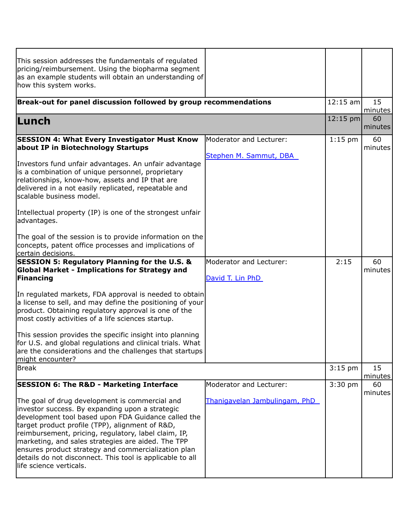| This session addresses the fundamentals of regulated<br>pricing/reimbursement. Using the biopharma segment<br>as an example students will obtain an understanding of<br>how this system works.                                                                                                                                                                                                                                                                            |                                             |            |               |
|---------------------------------------------------------------------------------------------------------------------------------------------------------------------------------------------------------------------------------------------------------------------------------------------------------------------------------------------------------------------------------------------------------------------------------------------------------------------------|---------------------------------------------|------------|---------------|
| Break-out for panel discussion followed by group recommendations                                                                                                                                                                                                                                                                                                                                                                                                          |                                             | $12:15$ am | 15<br>minutes |
| Lunch                                                                                                                                                                                                                                                                                                                                                                                                                                                                     |                                             | $12:15$ pm | 60<br>minutes |
| <b>SESSION 4: What Every Investigator Must Know</b><br>about IP in Biotechnology Startups                                                                                                                                                                                                                                                                                                                                                                                 | Moderator and Lecturer:                     | $1:15$ pm  | 60<br>minutes |
| Investors fund unfair advantages. An unfair advantage<br>is a combination of unique personnel, proprietary<br>relationships, know-how, assets and IP that are<br>delivered in a not easily replicated, repeatable and<br>scalable business model.                                                                                                                                                                                                                         | Stephen M. Sammut, DBA                      |            |               |
| Intellectual property (IP) is one of the strongest unfair<br>advantages.                                                                                                                                                                                                                                                                                                                                                                                                  |                                             |            |               |
| The goal of the session is to provide information on the<br>concepts, patent office processes and implications of<br>certain decisions.                                                                                                                                                                                                                                                                                                                                   |                                             |            |               |
| <b>SESSION 5: Regulatory Planning for the U.S. &amp;</b><br><b>Global Market - Implications for Strategy and</b><br>Financing                                                                                                                                                                                                                                                                                                                                             | Moderator and Lecturer:<br>David T. Lin PhD | 2:15       | 60<br>minutes |
| In regulated markets, FDA approval is needed to obtain<br>a license to sell, and may define the positioning of your<br>product. Obtaining regulatory approval is one of the<br>most costly activities of a life sciences startup.                                                                                                                                                                                                                                         |                                             |            |               |
| This session provides the specific insight into planning<br>for U.S. and global regulations and clinical trials. What<br>are the considerations and the challenges that startups<br>might encounter?                                                                                                                                                                                                                                                                      |                                             |            |               |
| <b>Break</b>                                                                                                                                                                                                                                                                                                                                                                                                                                                              |                                             | $3:15$ pm  | 15<br>minutes |
| <b>SESSION 6: The R&amp;D - Marketing Interface</b>                                                                                                                                                                                                                                                                                                                                                                                                                       | Moderator and Lecturer:                     | $3:30$ pm  | 60            |
| The goal of drug development is commercial and<br>investor success. By expanding upon a strategic<br>development tool based upon FDA Guidance called the<br>target product profile (TPP), alignment of R&D,<br>reimbursement, pricing, regulatory, label claim, IP,<br>marketing, and sales strategies are aided. The TPP<br>ensures product strategy and commercialization plan<br>details do not disconnect. This tool is applicable to all<br>llife science verticals. | Thanigavelan Jambulingam, PhD               |            | minutes       |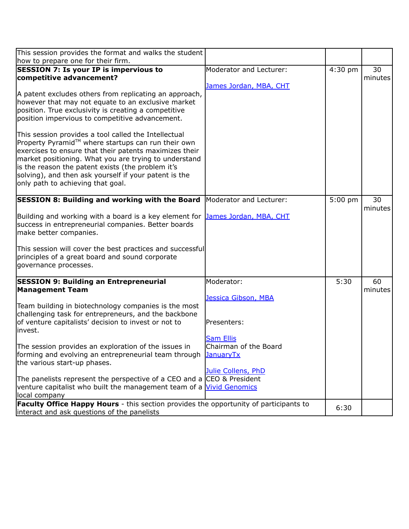| This session provides the format and walks the student                                                                                                                                                                                                                                                                                                                                                                                                                                                                                                                                                                                                                                                                         |                                                                                                                                  |           |               |
|--------------------------------------------------------------------------------------------------------------------------------------------------------------------------------------------------------------------------------------------------------------------------------------------------------------------------------------------------------------------------------------------------------------------------------------------------------------------------------------------------------------------------------------------------------------------------------------------------------------------------------------------------------------------------------------------------------------------------------|----------------------------------------------------------------------------------------------------------------------------------|-----------|---------------|
| how to prepare one for their firm.<br><b>SESSION 7: Is your IP is impervious to</b><br>competitive advancement?<br>A patent excludes others from replicating an approach,<br>however that may not equate to an exclusive market<br>position. True exclusivity is creating a competitive<br>position impervious to competitive advancement.<br>This session provides a tool called the Intellectual<br>Property Pyramid™ where startups can run their own<br>exercises to ensure that their patents maximizes their<br>market positioning. What you are trying to understand<br>is the reason the patent exists (the problem it's<br>solving), and then ask yourself if your patent is the<br>only path to achieving that goal. | Moderator and Lecturer:<br>James Jordan, MBA, CHT                                                                                | $4:30$ pm | 30<br>minutes |
| <b>SESSION 8: Building and working with the Board</b><br>Building and working with a board is a key element for<br>success in entrepreneurial companies. Better boards<br>make better companies.<br>This session will cover the best practices and successful<br>principles of a great board and sound corporate<br>governance processes.                                                                                                                                                                                                                                                                                                                                                                                      | Moderator and Lecturer:<br>James Jordan, MBA, CHT                                                                                | $5:00$ pm | 30<br>minutes |
| <b>SESSION 9: Building an Entrepreneurial</b><br><b>Management Team</b><br>Team building in biotechnology companies is the most<br>challenging task for entrepreneurs, and the backbone<br>of venture capitalists' decision to invest or not to<br>linvest.<br>The session provides an exploration of the issues in<br>forming and evolving an entrepreneurial team through<br>the various start-up phases.<br>The panelists represent the perspective of a CEO and a CEO & President<br>venture capitalist who built the management team of a Vivid Genomics<br>local company                                                                                                                                                 | Moderator:<br>Jessica Gibson, MBA<br>Presenters:<br><b>Sam Ellis</b><br>Chairman of the Board<br>JanuaryTx<br>Julie Collens, PhD | 5:30      | 60<br>minutes |
| <b>Faculty Office Happy Hours</b> - this section provides the opportunity of participants to<br>interact and ask questions of the panelists                                                                                                                                                                                                                                                                                                                                                                                                                                                                                                                                                                                    |                                                                                                                                  | 6:30      |               |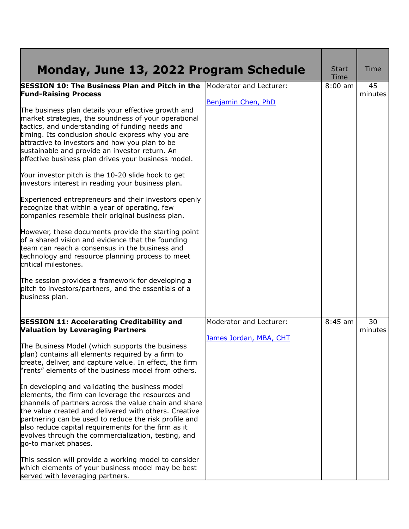| Monday, June 13, 2022 Program Schedule                                                                                                                                                                                                                                                                                                                                                                                                                                                                   |                         | <b>Start</b><br>Time | <b>Time</b>   |
|----------------------------------------------------------------------------------------------------------------------------------------------------------------------------------------------------------------------------------------------------------------------------------------------------------------------------------------------------------------------------------------------------------------------------------------------------------------------------------------------------------|-------------------------|----------------------|---------------|
| <b>SESSION 10: The Business Plan and Pitch in the</b><br><b>Fund-Raising Process</b>                                                                                                                                                                                                                                                                                                                                                                                                                     | Moderator and Lecturer: | $8:00$ am            | 45<br>minutes |
|                                                                                                                                                                                                                                                                                                                                                                                                                                                                                                          | Benjamin Chen, PhD      |                      |               |
| The business plan details your effective growth and<br>market strategies, the soundness of your operational<br>tactics, and understanding of funding needs and<br>timing. Its conclusion should express why you are<br>attractive to investors and how you plan to be<br>sustainable and provide an investor return. An<br>effective business plan drives your business model.                                                                                                                           |                         |                      |               |
| Your investor pitch is the 10-20 slide hook to get<br>investors interest in reading your business plan.                                                                                                                                                                                                                                                                                                                                                                                                  |                         |                      |               |
| Experienced entrepreneurs and their investors openly<br>recognize that within a year of operating, few<br>companies resemble their original business plan.                                                                                                                                                                                                                                                                                                                                               |                         |                      |               |
| However, these documents provide the starting point<br>of a shared vision and evidence that the founding<br>team can reach a consensus in the business and<br>technology and resource planning process to meet<br>critical milestones.                                                                                                                                                                                                                                                                   |                         |                      |               |
| The session provides a framework for developing a<br>pitch to investors/partners, and the essentials of a<br>business plan.                                                                                                                                                                                                                                                                                                                                                                              |                         |                      |               |
| <b>SESSION 11: Accelerating Creditability and</b><br><b>Valuation by Leveraging Partners</b>                                                                                                                                                                                                                                                                                                                                                                                                             | Moderator and Lecturer: | $8:45$ am            | 30<br>minutes |
| The Business Model (which supports the business<br>plan) contains all elements required by a firm to<br>create, deliver, and capture value. In effect, the firm<br>rents" elements of the business model from others.<br>In developing and validating the business model<br>elements, the firm can leverage the resources and<br>channels of partners across the value chain and share<br>the value created and delivered with others. Creative<br>partnering can be used to reduce the risk profile and | James Jordan, MBA, CHT  |                      |               |
| also reduce capital requirements for the firm as it<br>evolves through the commercialization, testing, and<br>go-to market phases.                                                                                                                                                                                                                                                                                                                                                                       |                         |                      |               |
| This session will provide a working model to consider<br>which elements of your business model may be best<br>served with leveraging partners.                                                                                                                                                                                                                                                                                                                                                           |                         |                      |               |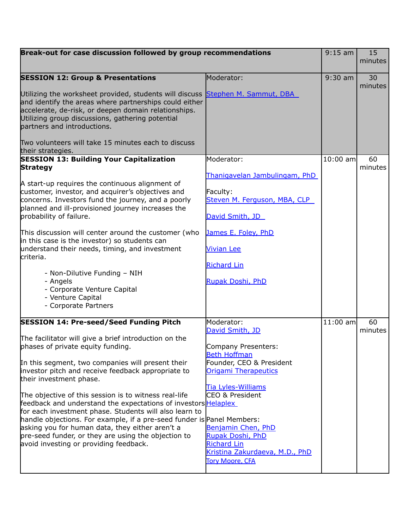| Break-out for case discussion followed by group recommendations                                                                                                                                                                                                                      |                                                                                                                                 | $9:15$ am  | 15            |
|--------------------------------------------------------------------------------------------------------------------------------------------------------------------------------------------------------------------------------------------------------------------------------------|---------------------------------------------------------------------------------------------------------------------------------|------------|---------------|
|                                                                                                                                                                                                                                                                                      |                                                                                                                                 |            | minutes       |
| <b>SESSION 12: Group &amp; Presentations</b>                                                                                                                                                                                                                                         | Moderator:                                                                                                                      | $9:30$ am  | 30<br>minutes |
| Utilizing the worksheet provided, students will discuss<br>and identify the areas where partnerships could either<br>accelerate, de-risk, or deepen domain relationships.<br>Utilizing group discussions, gathering potential<br>partners and introductions.                         | Stephen M. Sammut, DBA                                                                                                          |            |               |
| Two volunteers will take 15 minutes each to discuss<br>their strategies.                                                                                                                                                                                                             |                                                                                                                                 |            |               |
| <b>SESSION 13: Building Your Capitalization</b><br><b>Strategy</b>                                                                                                                                                                                                                   | Moderator:                                                                                                                      | $10:00$ am | 60<br>minutes |
|                                                                                                                                                                                                                                                                                      | Thanigavelan Jambulingam, PhD                                                                                                   |            |               |
| A start-up requires the continuous alignment of<br>customer, investor, and acquirer's objectives and<br>concerns. Investors fund the journey, and a poorly<br>planned and ill-provisioned journey increases the                                                                      | Faculty:<br>Steven M. Ferguson, MBA, CLP                                                                                        |            |               |
| probability of failure.                                                                                                                                                                                                                                                              | David Smith, JD                                                                                                                 |            |               |
| This discussion will center around the customer (who<br>in this case is the investor) so students can                                                                                                                                                                                | James E. Foley, PhD                                                                                                             |            |               |
| understand their needs, timing, and investment<br>criteria.                                                                                                                                                                                                                          | <b>Vivian Lee</b>                                                                                                               |            |               |
|                                                                                                                                                                                                                                                                                      | <b>Richard Lin</b>                                                                                                              |            |               |
| - Non-Dilutive Funding - NIH<br>- Angels<br>- Corporate Venture Capital                                                                                                                                                                                                              | <b>Rupak Doshi, PhD</b>                                                                                                         |            |               |
| - Venture Capital<br>- Corporate Partners                                                                                                                                                                                                                                            |                                                                                                                                 |            |               |
| <b>SESSION 14: Pre-seed/Seed Funding Pitch</b>                                                                                                                                                                                                                                       | Moderator:<br>David Smith, JD                                                                                                   | $11:00$ am | 60<br>minutes |
| The facilitator will give a brief introduction on the                                                                                                                                                                                                                                |                                                                                                                                 |            |               |
| phases of private equity funding.                                                                                                                                                                                                                                                    | Company Presenters:                                                                                                             |            |               |
| In this segment, two companies will present their                                                                                                                                                                                                                                    | <b>Beth Hoffman</b><br>Founder, CEO & President                                                                                 |            |               |
| investor pitch and receive feedback appropriate to<br>their investment phase.                                                                                                                                                                                                        | <b>Origami Therapeutics</b>                                                                                                     |            |               |
| The objective of this session is to witness real-life<br>feedback and understand the expectations of investors <b>Helaplex</b>                                                                                                                                                       | <b>Tia Lyles-Williams</b><br>CEO & President                                                                                    |            |               |
| for each investment phase. Students will also learn to<br>handle objections. For example, if a pre-seed funder is Panel Members:<br>asking you for human data, they either aren't a<br>pre-seed funder, or they are using the objection to<br>avoid investing or providing feedback. | Benjamin Chen, PhD<br><b>Rupak Doshi, PhD</b><br><b>Richard Lin</b><br>Kristina Zakurdaeva, M.D., PhD<br><b>Tory Moore, CFA</b> |            |               |
|                                                                                                                                                                                                                                                                                      |                                                                                                                                 |            |               |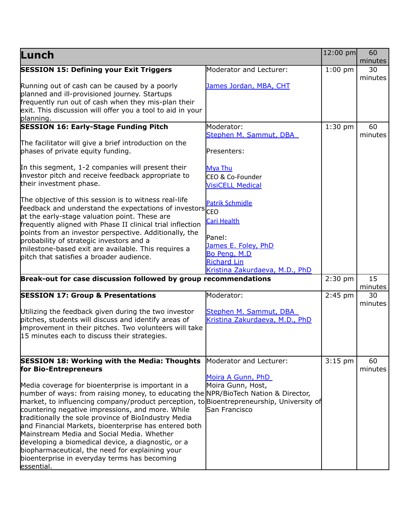| Lunch                                                                                                                                                                                                                                                                                                                                                                                                                                                                                                                                                                                                                           |                                                                                        | 12:00 pm  | 60<br>minutes |
|---------------------------------------------------------------------------------------------------------------------------------------------------------------------------------------------------------------------------------------------------------------------------------------------------------------------------------------------------------------------------------------------------------------------------------------------------------------------------------------------------------------------------------------------------------------------------------------------------------------------------------|----------------------------------------------------------------------------------------|-----------|---------------|
| <b>SESSION 15: Defining your Exit Triggers</b>                                                                                                                                                                                                                                                                                                                                                                                                                                                                                                                                                                                  | Moderator and Lecturer:                                                                | $1:00$ pm | 30            |
| Running out of cash can be caused by a poorly<br>planned and ill-provisioned journey. Startups<br>frequently run out of cash when they mis-plan their<br>exit. This discussion will offer you a tool to aid in your<br>planning.                                                                                                                                                                                                                                                                                                                                                                                                | James Jordan, MBA, CHT                                                                 |           | minutes       |
| <b>SESSION 16: Early-Stage Funding Pitch</b>                                                                                                                                                                                                                                                                                                                                                                                                                                                                                                                                                                                    | Moderator:                                                                             | $1:30$ pm | 60            |
| The facilitator will give a brief introduction on the<br>phases of private equity funding.                                                                                                                                                                                                                                                                                                                                                                                                                                                                                                                                      | Stephen M. Sammut, DBA<br>Presenters:                                                  |           | minutes       |
| In this segment, 1-2 companies will present their<br>investor pitch and receive feedback appropriate to<br>their investment phase.                                                                                                                                                                                                                                                                                                                                                                                                                                                                                              | <b>Mya Thu</b><br>CEO & Co-Founder<br><b>VisiCELL Medical</b>                          |           |               |
| The objective of this session is to witness real-life<br>frie callenger and understand the expectations of investors CEO<br>at the early-stage valuation point. These are<br>frequently aligned with Phase II clinical trial inflection<br>points from an investor perspective. Additionally, the<br>probability of strategic investors and a<br>milestone-based exit are available. This requires a                                                                                                                                                                                                                            | <b>Patrik Schmidle</b><br>Cari Health<br>Panel:<br>James E. Foley, PhD<br>Bo Peng, M.D |           |               |
| pitch that satisfies a broader audience.                                                                                                                                                                                                                                                                                                                                                                                                                                                                                                                                                                                        | <b>Richard Lin</b>                                                                     |           |               |
| Break-out for case discussion followed by group recommendations                                                                                                                                                                                                                                                                                                                                                                                                                                                                                                                                                                 | Kristina Zakurdaeva, M.D., PhD                                                         | $2:30$ pm | 15            |
|                                                                                                                                                                                                                                                                                                                                                                                                                                                                                                                                                                                                                                 |                                                                                        |           | minutes       |
| <b>SESSION 17: Group &amp; Presentations</b><br>Utilizing the feedback given during the two investor                                                                                                                                                                                                                                                                                                                                                                                                                                                                                                                            | Moderator:<br>Stephen M. Sammut, DBA                                                   | $2:45$ pm | 30<br>minutes |
| pitches, students will discuss and identify areas of<br>improvement in their pitches. Two volunteers will take<br>15 minutes each to discuss their strategies.                                                                                                                                                                                                                                                                                                                                                                                                                                                                  | Kristina Zakurdaeva, M.D., PhD                                                         |           |               |
| <b>SESSION 18: Working with the Media: Thoughts</b><br>for Bio-Entrepreneurs                                                                                                                                                                                                                                                                                                                                                                                                                                                                                                                                                    | Moderator and Lecturer:                                                                | $3:15$ pm | 60<br>minutes |
| Media coverage for bioenterprise is important in a<br>number of ways: from raising money, to educating the NPR/BioTech Nation & Director,<br>market, to influencing company/product perception, to Bioentrepreneurship, University of<br>countering negative impressions, and more. While<br>traditionally the sole province of BioIndustry Media<br>and Financial Markets, bioenterprise has entered both<br>Mainstream Media and Social Media. Whether<br>developing a biomedical device, a diagnostic, or a<br>biopharmaceutical, the need for explaining your<br>bioenterprise in everyday terms has becoming<br>essential. | Moira A Gunn, PhD<br>Moira Gunn, Host,<br>San Francisco                                |           |               |